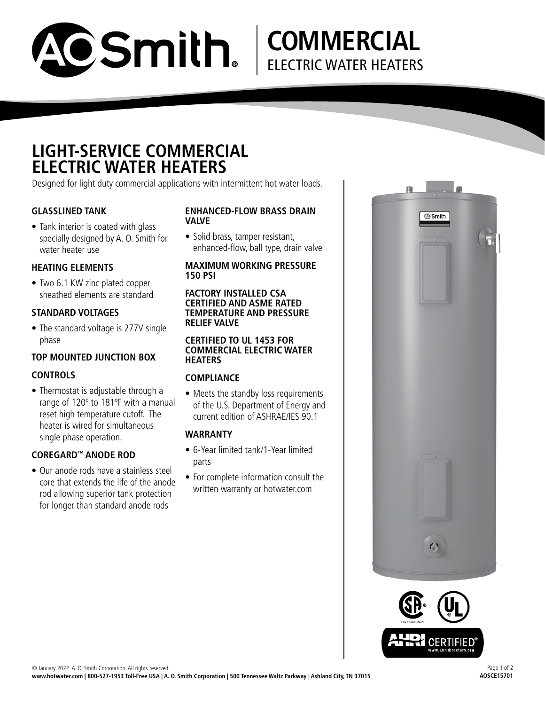

## **COMMERCIAL** ELECTRIC WATER HEATERS

## **LIGHT-SERVICE COMMERCIAL ELECTRIC WATER HEATERS**

Designed for light duty commercial applications with intermittent hot water loads.

#### **GLASSLINED TANK**

• Tank interior is coated with glass specially designed by A. O. Smith for water heater use

#### **HEATING ELEMENTS**

• Two 6.1 KW zinc plated copper sheathed elements are standard

#### **STANDARD VOLTAGES**

• The standard voltage is 277V single phase

### **TOP MOUNTED JUNCTION BOX**

#### **CONTROLS**

• Thermostat is adjustable through a range of 120º to 181ºF with a manual reset high temperature cutoff. The heater is wired for simultaneous single phase operation.

#### **COREGARD™ ANODE ROD**

• Our anode rods have a stainless steel core that extends the life of the anode rod allowing superior tank protection for longer than standard anode rods

#### **ENHANCED-FLOW BRASS DRAIN VALVE**

• Solid brass, tamper resistant, enhanced-flow, ball type, drain valve

#### **MAXIMUM WORKING PRESSURE 150 PSI**

#### **FACTORY INSTALLED CSA CERTIFIED AND ASME RATED TEMPERATURE AND PRESSURE RELIEF VALVE**

#### **CERTIFIED TO UL 1453 FOR COMMERCIAL ELECTRIC WATER HEATERS**

#### **COMPLIANCE**

• Meets the standby loss requirements of the U.S. Department of Energy and current edition of ASHRAE/IES 90.1

#### **WARRANTY**

- 6-Year limited tank/1-Year limited parts
- For complete information consult the written warranty or hotwater.com